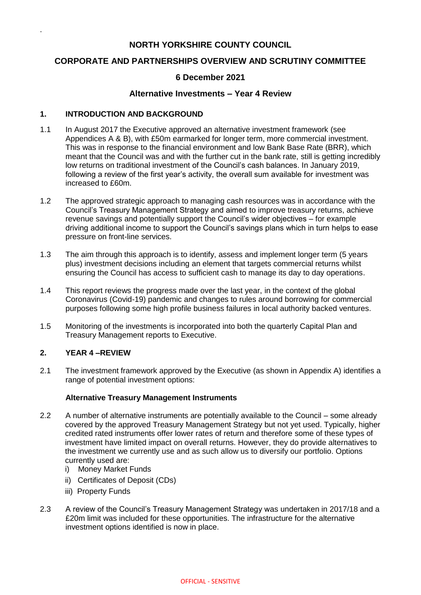# **NORTH YORKSHIRE COUNTY COUNCIL**

# **CORPORATE AND PARTNERSHIPS OVERVIEW AND SCRUTINY COMMITTEE**

## **6 December 2021**

## **Alternative Investments – Year 4 Review**

### **1. INTRODUCTION AND BACKGROUND**

.

- 1.1 In August 2017 the Executive approved an alternative investment framework (see Appendices A & B), with £50m earmarked for longer term, more commercial investment. This was in response to the financial environment and low Bank Base Rate (BRR), which meant that the Council was and with the further cut in the bank rate, still is getting incredibly low returns on traditional investment of the Council's cash balances. In January 2019, following a review of the first year's activity, the overall sum available for investment was increased to £60m.
- 1.2 The approved strategic approach to managing cash resources was in accordance with the Council's Treasury Management Strategy and aimed to improve treasury returns, achieve revenue savings and potentially support the Council's wider objectives – for example driving additional income to support the Council's savings plans which in turn helps to ease pressure on front-line services.
- 1.3 The aim through this approach is to identify, assess and implement longer term (5 years plus) investment decisions including an element that targets commercial returns whilst ensuring the Council has access to sufficient cash to manage its day to day operations.
- 1.4 This report reviews the progress made over the last year, in the context of the global Coronavirus (Covid-19) pandemic and changes to rules around borrowing for commercial purposes following some high profile business failures in local authority backed ventures.
- 1.5 Monitoring of the investments is incorporated into both the quarterly Capital Plan and Treasury Management reports to Executive.

## **2. YEAR 4 –REVIEW**

2.1 The investment framework approved by the Executive (as shown in Appendix A) identifies a range of potential investment options:

### **Alternative Treasury Management Instruments**

- 2.2 A number of alternative instruments are potentially available to the Council some already covered by the approved Treasury Management Strategy but not yet used. Typically, higher credited rated instruments offer lower rates of return and therefore some of these types of investment have limited impact on overall returns. However, they do provide alternatives to the investment we currently use and as such allow us to diversify our portfolio. Options currently used are:
	- i) Money Market Funds
	- ii) Certificates of Deposit (CDs)
	- iii) Property Funds
- 2.3 A review of the Council's Treasury Management Strategy was undertaken in 2017/18 and a £20m limit was included for these opportunities. The infrastructure for the alternative investment options identified is now in place.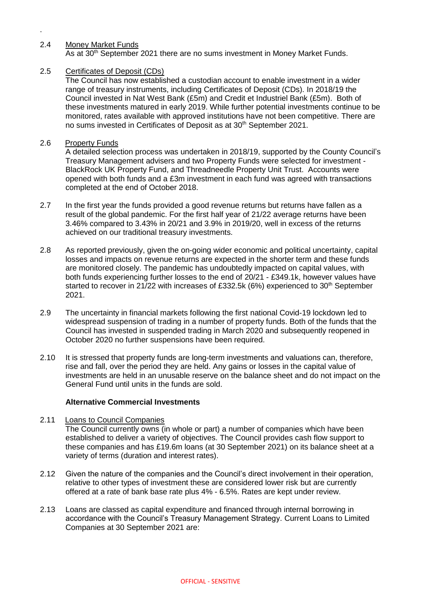### 2.4 Money Market Funds

.

As at 30th September 2021 there are no sums investment in Money Market Funds.

### 2.5 Certificates of Deposit (CDs)

The Council has now established a custodian account to enable investment in a wider range of treasury instruments, including Certificates of Deposit (CDs). In 2018/19 the Council invested in Nat West Bank (£5m) and Credit et Industriel Bank (£5m). Both of these investments matured in early 2019. While further potential investments continue to be monitored, rates available with approved institutions have not been competitive. There are no sums invested in Certificates of Deposit as at 30<sup>th</sup> September 2021.

### 2.6 Property Funds

A detailed selection process was undertaken in 2018/19, supported by the County Council's Treasury Management advisers and two Property Funds were selected for investment - BlackRock UK Property Fund, and Threadneedle Property Unit Trust. Accounts were opened with both funds and a £3m investment in each fund was agreed with transactions completed at the end of October 2018.

- 2.7 In the first year the funds provided a good revenue returns but returns have fallen as a result of the global pandemic. For the first half year of 21/22 average returns have been 3.46% compared to 3.43% in 20/21 and 3.9% in 2019/20, well in excess of the returns achieved on our traditional treasury investments.
- 2.8 As reported previously, given the on-going wider economic and political uncertainty, capital losses and impacts on revenue returns are expected in the shorter term and these funds are monitored closely. The pandemic has undoubtedly impacted on capital values, with both funds experiencing further losses to the end of 20/21 - £349.1k, however values have started to recover in 21/22 with increases of £332.5k (6%) experienced to  $30<sup>th</sup>$  September 2021.
- 2.9 The uncertainty in financial markets following the first national Covid-19 lockdown led to widespread suspension of trading in a number of property funds. Both of the funds that the Council has invested in suspended trading in March 2020 and subsequently reopened in October 2020 no further suspensions have been required.
- 2.10 It is stressed that property funds are long-term investments and valuations can, therefore, rise and fall, over the period they are held. Any gains or losses in the capital value of investments are held in an unusable reserve on the balance sheet and do not impact on the General Fund until units in the funds are sold.

#### **Alternative Commercial Investments**

- 2.11 Loans to Council Companies The Council currently owns (in whole or part) a number of companies which have been established to deliver a variety of objectives. The Council provides cash flow support to these companies and has £19.6m loans (at 30 September 2021) on its balance sheet at a variety of terms (duration and interest rates).
- 2.12 Given the nature of the companies and the Council's direct involvement in their operation, relative to other types of investment these are considered lower risk but are currently offered at a rate of bank base rate plus 4% - 6.5%. Rates are kept under review.
- 2.13 Loans are classed as capital expenditure and financed through internal borrowing in accordance with the Council's Treasury Management Strategy. Current Loans to Limited Companies at 30 September 2021 are: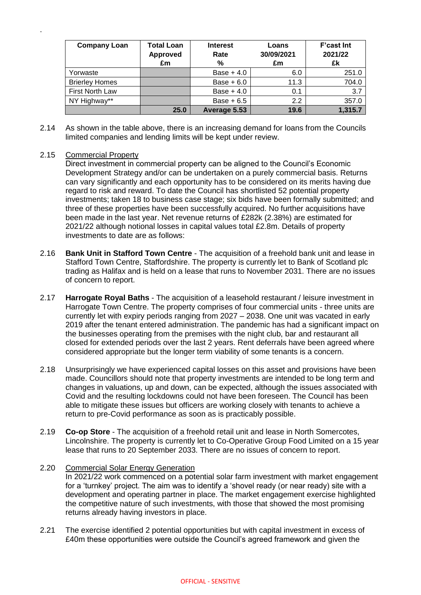| <b>Company Loan</b>   | <b>Total Loan</b><br>Approved<br>£m | <b>Interest</b><br>Rate<br>% | Loans<br>30/09/2021<br>£m | <b>F'cast Int</b><br>2021/22<br>£k |
|-----------------------|-------------------------------------|------------------------------|---------------------------|------------------------------------|
| Yorwaste              |                                     | Base $+4.0$                  | 6.0                       | 251.0                              |
| <b>Brierley Homes</b> |                                     | Base $+6.0$                  | 11.3                      | 704.0                              |
| First North Law       |                                     | Base $+4.0$                  | 0.1                       | 3.7                                |
| NY Highway**          |                                     | Base $+6.5$                  | 2.2                       | 357.0                              |
|                       | 25.0                                | Average 5.53                 | 19.6                      | 1,315.7                            |

2.14 As shown in the table above, there is an increasing demand for loans from the Councils limited companies and lending limits will be kept under review.

### 2.15 Commercial Property

.

Direct investment in commercial property can be aligned to the Council's Economic Development Strategy and/or can be undertaken on a purely commercial basis. Returns can vary significantly and each opportunity has to be considered on its merits having due regard to risk and reward. To date the Council has shortlisted 52 potential property investments; taken 18 to business case stage; six bids have been formally submitted; and three of these properties have been successfully acquired. No further acquisitions have been made in the last year. Net revenue returns of £282k (2.38%) are estimated for 2021/22 although notional losses in capital values total £2.8m. Details of property investments to date are as follows:

- 2.16 **Bank Unit in Stafford Town Centre** The acquisition of a freehold bank unit and lease in Stafford Town Centre, Staffordshire. The property is currently let to Bank of Scotland plc trading as Halifax and is held on a lease that runs to November 2031. There are no issues of concern to report.
- 2.17 **Harrogate Royal Baths** The acquisition of a leasehold restaurant / leisure investment in Harrogate Town Centre. The property comprises of four commercial units - three units are currently let with expiry periods ranging from 2027 – 2038. One unit was vacated in early 2019 after the tenant entered administration. The pandemic has had a significant impact on the businesses operating from the premises with the night club, bar and restaurant all closed for extended periods over the last 2 years. Rent deferrals have been agreed where considered appropriate but the longer term viability of some tenants is a concern.
- 2.18 Unsurprisingly we have experienced capital losses on this asset and provisions have been made. Councillors should note that property investments are intended to be long term and changes in valuations, up and down, can be expected, although the issues associated with Covid and the resulting lockdowns could not have been foreseen. The Council has been able to mitigate these issues but officers are working closely with tenants to achieve a return to pre-Covid performance as soon as is practicably possible.
- 2.19 **Co-op Store** The acquisition of a freehold retail unit and lease in North Somercotes, Lincolnshire. The property is currently let to Co-Operative Group Food Limited on a 15 year lease that runs to 20 September 2033. There are no issues of concern to report.

## 2.20 Commercial Solar Energy Generation In 2021/22 work commenced on a potential solar farm investment with market engagement for a 'turnkey' project. The aim was to identify a 'shovel ready (or near ready) site with a development and operating partner in place. The market engagement exercise highlighted the competitive nature of such investments, with those that showed the most promising returns already having investors in place.

2.21 The exercise identified 2 potential opportunities but with capital investment in excess of £40m these opportunities were outside the Council's agreed framework and given the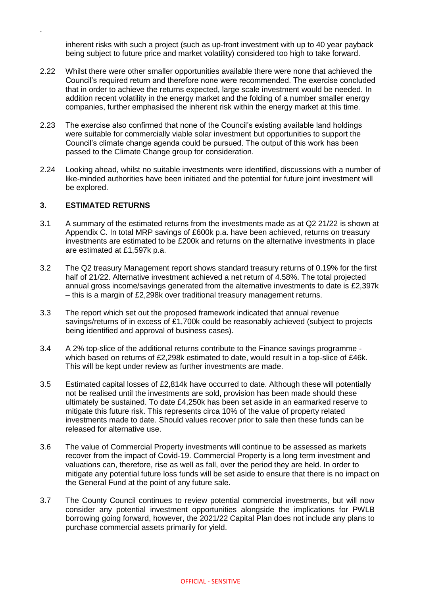inherent risks with such a project (such as up-front investment with up to 40 year payback being subject to future price and market volatility) considered too high to take forward.

- 2.22 Whilst there were other smaller opportunities available there were none that achieved the Council's required return and therefore none were recommended. The exercise concluded that in order to achieve the returns expected, large scale investment would be needed. In addition recent volatility in the energy market and the folding of a number smaller energy companies, further emphasised the inherent risk within the energy market at this time.
- 2.23 The exercise also confirmed that none of the Council's existing available land holdings were suitable for commercially viable solar investment but opportunities to support the Council's climate change agenda could be pursued. The output of this work has been passed to the Climate Change group for consideration.
- 2.24 Looking ahead, whilst no suitable investments were identified, discussions with a number of like-minded authorities have been initiated and the potential for future joint investment will be explored.

### **3. ESTIMATED RETURNS**

.

- 3.1 A summary of the estimated returns from the investments made as at Q2 21/22 is shown at Appendix C. In total MRP savings of £600k p.a. have been achieved, returns on treasury investments are estimated to be £200k and returns on the alternative investments in place are estimated at £1,597k p.a.
- 3.2 The Q2 treasury Management report shows standard treasury returns of 0.19% for the first half of 21/22. Alternative investment achieved a net return of 4.58%. The total projected annual gross income/savings generated from the alternative investments to date is £2,397k – this is a margin of £2,298k over traditional treasury management returns.
- 3.3 The report which set out the proposed framework indicated that annual revenue savings/returns of in excess of £1,700k could be reasonably achieved (subject to projects being identified and approval of business cases).
- 3.4 A 2% top-slice of the additional returns contribute to the Finance savings programme which based on returns of £2,298k estimated to date, would result in a top-slice of £46k. This will be kept under review as further investments are made.
- 3.5 Estimated capital losses of £2,814k have occurred to date. Although these will potentially not be realised until the investments are sold, provision has been made should these ultimately be sustained. To date £4,250k has been set aside in an earmarked reserve to mitigate this future risk. This represents circa 10% of the value of property related investments made to date. Should values recover prior to sale then these funds can be released for alternative use.
- 3.6 The value of Commercial Property investments will continue to be assessed as markets recover from the impact of Covid-19. Commercial Property is a long term investment and valuations can, therefore, rise as well as fall, over the period they are held. In order to mitigate any potential future loss funds will be set aside to ensure that there is no impact on the General Fund at the point of any future sale.
- 3.7 The County Council continues to review potential commercial investments, but will now consider any potential investment opportunities alongside the implications for PWLB borrowing going forward, however, the 2021/22 Capital Plan does not include any plans to purchase commercial assets primarily for yield.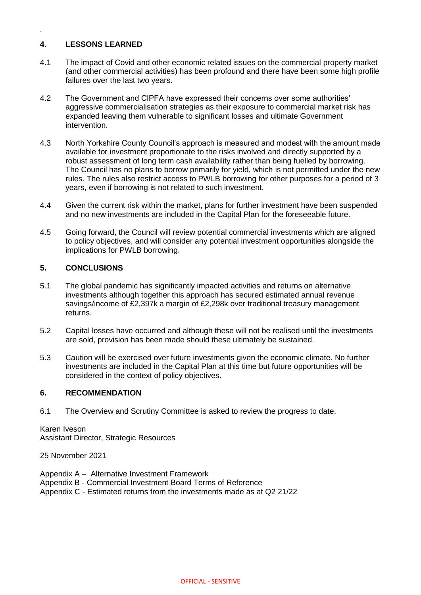# **4. LESSONS LEARNED**

.

- 4.1 The impact of Covid and other economic related issues on the commercial property market (and other commercial activities) has been profound and there have been some high profile failures over the last two years.
- 4.2 The Government and CIPFA have expressed their concerns over some authorities' aggressive commercialisation strategies as their exposure to commercial market risk has expanded leaving them vulnerable to significant losses and ultimate Government intervention.
- 4.3 North Yorkshire County Council's approach is measured and modest with the amount made available for investment proportionate to the risks involved and directly supported by a robust assessment of long term cash availability rather than being fuelled by borrowing. The Council has no plans to borrow primarily for yield, which is not permitted under the new rules. The rules also restrict access to PWLB borrowing for other purposes for a period of 3 years, even if borrowing is not related to such investment.
- 4.4 Given the current risk within the market, plans for further investment have been suspended and no new investments are included in the Capital Plan for the foreseeable future.
- 4.5 Going forward, the Council will review potential commercial investments which are aligned to policy objectives, and will consider any potential investment opportunities alongside the implications for PWLB borrowing.

## **5. CONCLUSIONS**

- 5.1 The global pandemic has significantly impacted activities and returns on alternative investments although together this approach has secured estimated annual revenue savings/income of £2,397k a margin of £2,298k over traditional treasury management returns.
- 5.2 Capital losses have occurred and although these will not be realised until the investments are sold, provision has been made should these ultimately be sustained.
- 5.3 Caution will be exercised over future investments given the economic climate. No further investments are included in the Capital Plan at this time but future opportunities will be considered in the context of policy objectives.

## **6. RECOMMENDATION**

6.1 The Overview and Scrutiny Committee is asked to review the progress to date.

Karen Iveson Assistant Director, Strategic Resources

25 November 2021

- Appendix A Alternative Investment Framework
- Appendix B Commercial Investment Board Terms of Reference
- Appendix C Estimated returns from the investments made as at Q2 21/22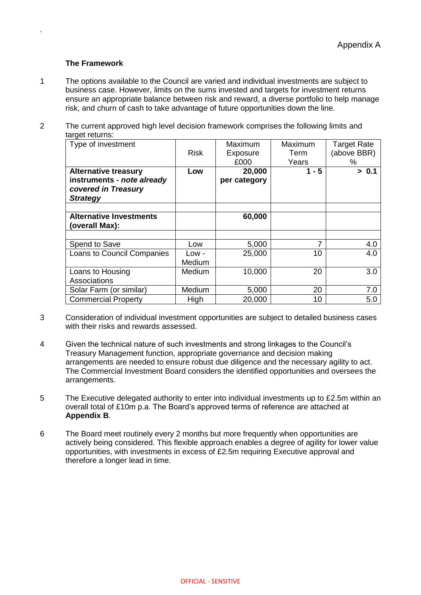### **The Framework**

.

- 1 The options available to the Council are varied and individual investments are subject to business case. However, limits on the sums invested and targets for investment returns ensure an appropriate balance between risk and reward, a diverse portfolio to help manage risk, and churn of cash to take advantage of future opportunities down the line.
- 2 The current approved high level decision framework comprises the following limits and target returns:

| Type of investment                                                   |             | Maximum      | Maximum | <b>Target Rate</b> |
|----------------------------------------------------------------------|-------------|--------------|---------|--------------------|
|                                                                      | <b>Risk</b> | Exposure     | Term    | (above BBR)        |
|                                                                      |             | £000         | Years   | %                  |
| <b>Alternative treasury</b>                                          | Low         | 20,000       | $1 - 5$ | > 0.1              |
| instruments - note already<br>covered in Treasury<br><b>Strategy</b> |             | per category |         |                    |
|                                                                      |             |              |         |                    |
| <b>Alternative Investments</b><br>(overall Max):                     |             | 60,000       |         |                    |
|                                                                      |             |              |         |                    |
| Spend to Save                                                        | Low         | 5,000        | 7       | 4.0                |
| Loans to Council Companies                                           | Low -       | 25,000       | 10      | 4.0                |
|                                                                      | Medium      |              |         |                    |
| Loans to Housing                                                     | Medium      | 10,000       | 20      | 3.0                |
| Associations                                                         |             |              |         |                    |
| Solar Farm (or similar)                                              | Medium      | 5,000        | 20      | 7.0                |
| <b>Commercial Property</b>                                           | High        | 20,000       | 10      | 5.0                |

- 3 Consideration of individual investment opportunities are subject to detailed business cases with their risks and rewards assessed.
- 4 Given the technical nature of such investments and strong linkages to the Council's Treasury Management function, appropriate governance and decision making arrangements are needed to ensure robust due diligence and the necessary agility to act. The Commercial Investment Board considers the identified opportunities and oversees the arrangements.
- 5 The Executive delegated authority to enter into individual investments up to £2.5m within an overall total of £10m p.a. The Board's approved terms of reference are attached at **Appendix B**.
- 6 The Board meet routinely every 2 months but more frequently when opportunities are actively being considered. This flexible approach enables a degree of agility for lower value opportunities, with investments in excess of £2.5m requiring Executive approval and therefore a longer lead in time.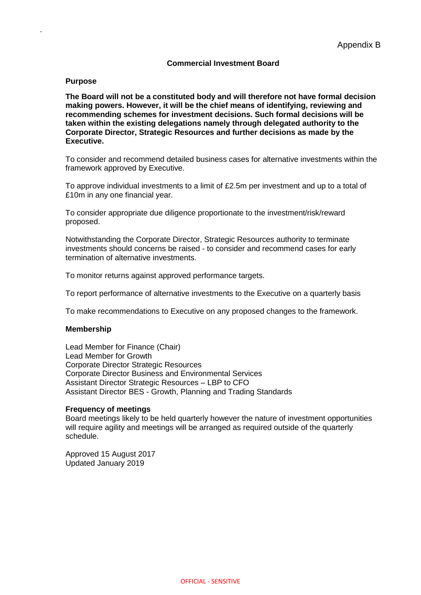### **Commercial Investment Board**

#### **Purpose**

.

**The Board will not be a constituted body and will therefore not have formal decision making powers. However, it will be the chief means of identifying, reviewing and recommending schemes for investment decisions. Such formal decisions will be taken within the existing delegations namely through delegated authority to the Corporate Director, Strategic Resources and further decisions as made by the Executive.** 

To consider and recommend detailed business cases for alternative investments within the framework approved by Executive.

To approve individual investments to a limit of £2.5m per investment and up to a total of £10m in any one financial year.

To consider appropriate due diligence proportionate to the investment/risk/reward proposed.

Notwithstanding the Corporate Director, Strategic Resources authority to terminate investments should concerns be raised - to consider and recommend cases for early termination of alternative investments.

To monitor returns against approved performance targets.

To report performance of alternative investments to the Executive on a quarterly basis

To make recommendations to Executive on any proposed changes to the framework.

#### **Membership**

Lead Member for Finance (Chair) Lead Member for Growth Corporate Director Strategic Resources Corporate Director Business and Environmental Services Assistant Director Strategic Resources – LBP to CFO Assistant Director BES - Growth, Planning and Trading Standards

#### **Frequency of meetings**

Board meetings likely to be held quarterly however the nature of investment opportunities will require agility and meetings will be arranged as required outside of the quarterly schedule.

Approved 15 August 2017 Updated January 2019